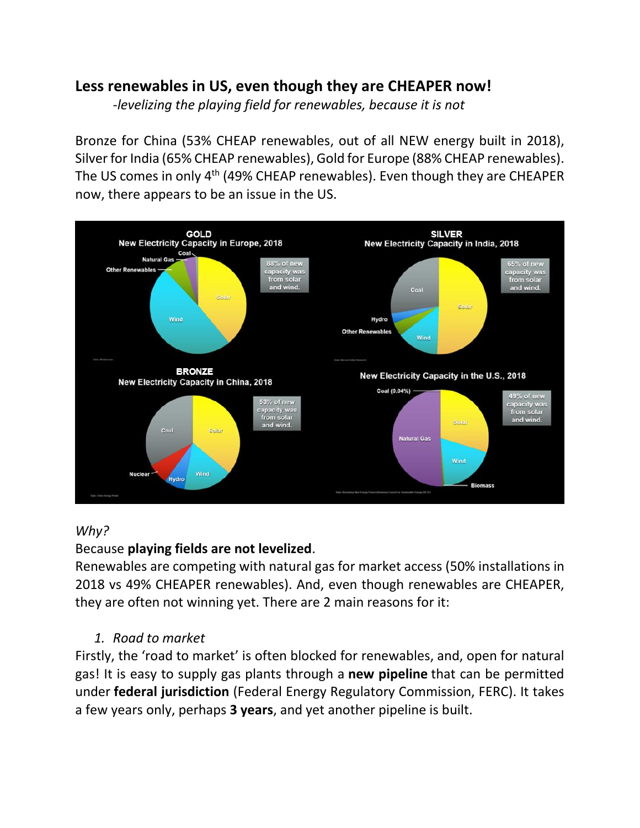# **Less renewables in US, even though they are CHEAPER now!**

*-levelizing the playing field for renewables, because it is not*

Bronze for China (53% CHEAP renewables, out of all NEW energy built in 2018), Silver for India (65% CHEAP renewables), Gold for Europe (88% CHEAP renewables). The US comes in only  $4<sup>th</sup>$  (49% CHEAP renewables). Even though they are CHEAPER now, there appears to be an issue in the US.



### *Why?*

# Because **playing fields are not levelized**.

Renewables are competing with natural gas for market access (50% installations in 2018 vs 49% CHEAPER renewables). And, even though renewables are CHEAPER, they are often not winning yet. There are 2 main reasons for it:

### *1. Road to market*

Firstly, the 'road to market' is often blocked for renewables, and, open for natural gas! It is easy to supply gas plants through a **new pipeline** that can be permitted under **federal jurisdiction** (Federal Energy Regulatory Commission, FERC). It takes a few years only, perhaps **3 years**, and yet another pipeline is built.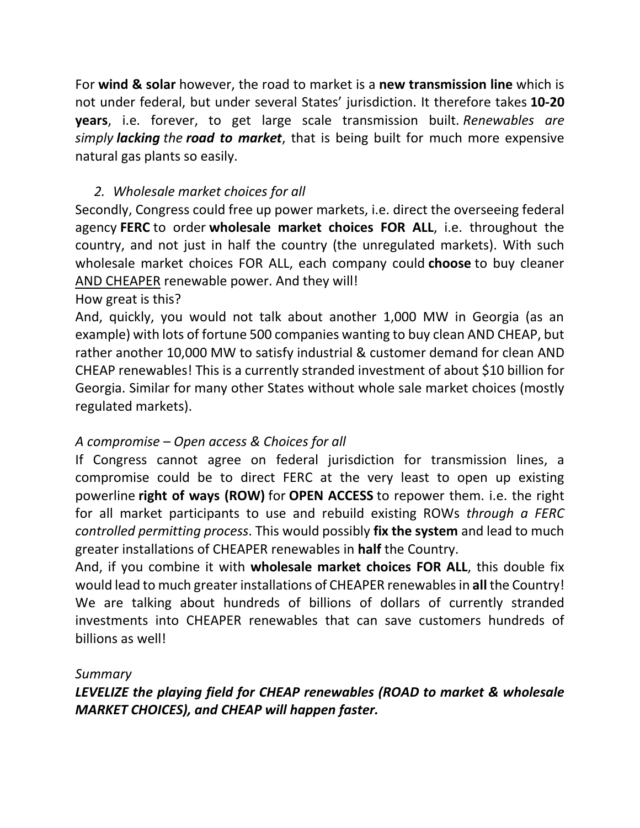For **wind & solar** however, the road to market is a **new transmission line** which is not under federal, but under several States' jurisdiction. It therefore takes **10-20 years**, i.e. forever, to get large scale transmission built. *Renewables are simply lacking the road to market*, that is being built for much more expensive natural gas plants so easily.

# *2. Wholesale market choices for all*

Secondly, Congress could free up power markets, i.e. direct the overseeing federal agency **FERC** to order **wholesale market choices FOR ALL**, i.e. throughout the country, and not just in half the country (the unregulated markets). With such wholesale market choices FOR ALL, each company could **choose** to buy cleaner AND CHEAPER renewable power. And they will!

How great is this?

And, quickly, you would not talk about another 1,000 MW in Georgia (as an example) with lots of fortune 500 companies wanting to buy clean AND CHEAP, but rather another 10,000 MW to satisfy industrial & customer demand for clean AND CHEAP renewables! This is a currently stranded investment of about \$10 billion for Georgia. Similar for many other States without whole sale market choices (mostly regulated markets).

# *A compromise – Open access & Choices for all*

If Congress cannot agree on federal jurisdiction for transmission lines, a compromise could be to direct FERC at the very least to open up existing powerline **right of ways (ROW)** for **OPEN ACCESS** to repower them. i.e. the right for all market participants to use and rebuild existing ROWs *through a FERC controlled permitting process*. This would possibly **fix the system** and lead to much greater installations of CHEAPER renewables in **half** the Country.

And, if you combine it with **wholesale market choices FOR ALL**, this double fix would lead to much greater installations of CHEAPER renewables in **all** the Country! We are talking about hundreds of billions of dollars of currently stranded investments into CHEAPER renewables that can save customers hundreds of billions as well!

### *Summary*

*LEVELIZE the playing field for CHEAP renewables (ROAD to market & wholesale MARKET CHOICES), and CHEAP will happen faster.*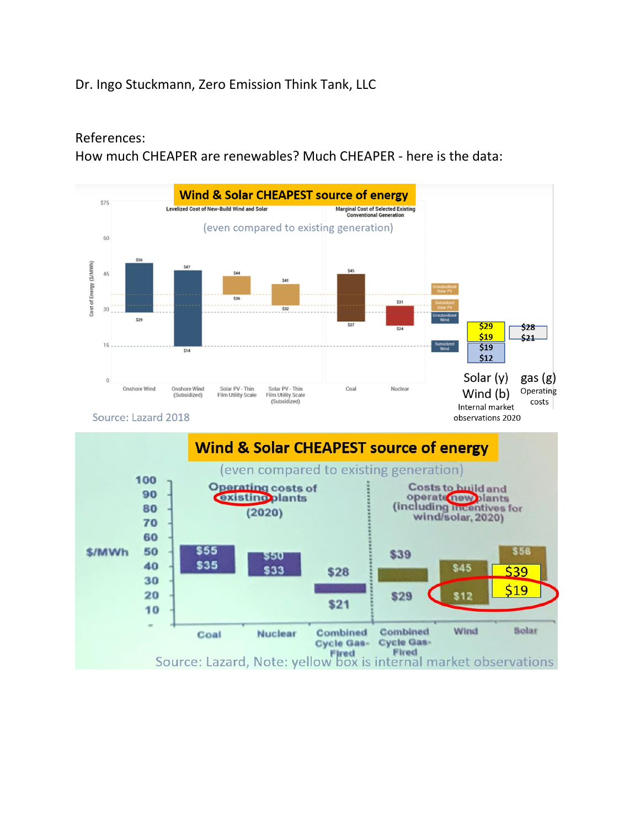## Dr. Ingo Stuckmann, Zero Emission Think Tank, LLC

#### References:

How much CHEAPER are renewables? Much CHEAPER - here is the data: